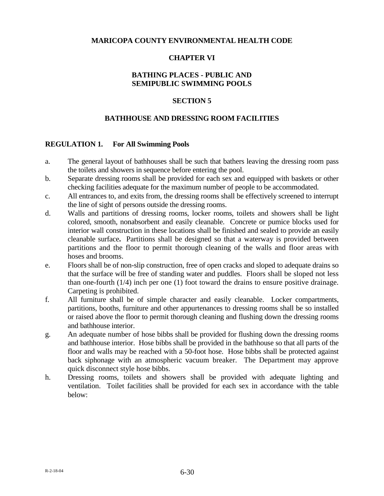## **MARICOPA COUNTY ENVIRONMENTAL HEALTH CODE**

## **CHAPTER VI**

# **BATHING PLACES - PUBLIC AND SEMIPUBLIC SWIMMING POOLS**

### **SECTION 5**

### **BATHHOUSE AND DRESSING ROOM FACILITIES**

#### **REGULATION 1. For All Swimming Pools**

- a. The general layout of bathhouses shall be such that bathers leaving the dressing room pass the toilets and showers in sequence before entering the pool.
- b. Separate dressing rooms shall be provided for each sex and equipped with baskets or other checking facilities adequate for the maximum number of people to be accommodated.
- c. All entrances to, and exits from, the dressing rooms shall be effectively screened to interrupt the line of sight of persons outside the dressing rooms.
- d. Walls and partitions of dressing rooms, locker rooms, toilets and showers shall be light colored, smooth, nonabsorbent and easily cleanable. Concrete or pumice blocks used for interior wall construction in these locations shall be finished and sealed to provide an easily cleanable surface**.** Partitions shall be designed so that a waterway is provided between partitions and the floor to permit thorough cleaning of the walls and floor areas with hoses and brooms.
- e. Floors shall be of non-slip construction, free of open cracks and sloped to adequate drains so that the surface will be free of standing water and puddles. Floors shall be sloped not less than one-fourth  $(1/4)$  inch per one  $(1)$  foot toward the drains to ensure positive drainage. Carpeting is prohibited.
- f. All furniture shall be of simple character and easily cleanable. Locker compartments, partitions, booths, furniture and other appurtenances to dressing rooms shall be so installed or raised above the floor to permit thorough cleaning and flushing down the dressing rooms and bathhouse interior.
- g. An adequate number of hose bibbs shall be provided for flushing down the dressing rooms and bathhouse interior. Hose bibbs shall be provided in the bathhouse so that all parts of the floor and walls may be reached with a 50-foot hose. Hose bibbs shall be protected against back siphonage with an atmospheric vacuum breaker. The Department may approve quick disconnect style hose bibbs.
- h. Dressing rooms, toilets and showers shall be provided with adequate lighting and ventilation. Toilet facilities shall be provided for each sex in accordance with the table below: